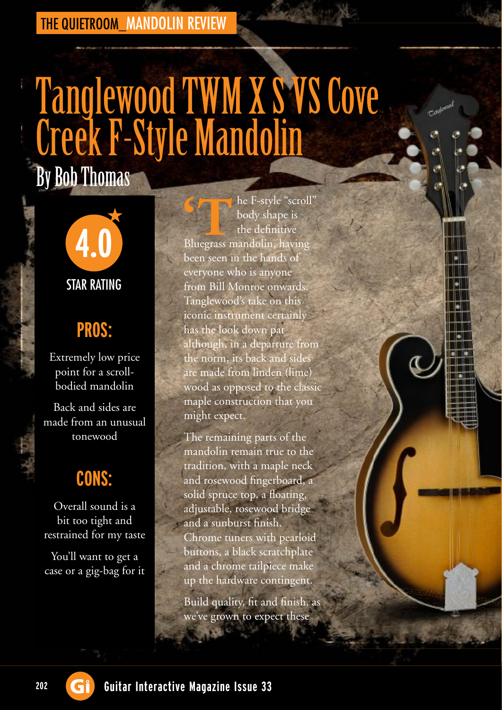#### THE QUIETROOM\_MANDOLIN REVIEW

# Tanglewood TWM X S VS Cove Creek F-Style Mandolin By Bob Thomas



## **PROS:**

Extremely low price point for a scrollbodied mandolin

Back and sides are made from an unusual tonewood

### **CONS:**

Overall sound is a bit too tight and restrained for my taste

You'll want to get a case or a gig-bag for it

he F-style "scroll" body shape is the definitive **C**<br> **h**e F-style "scroll body shape is the definitive Bluegrass mandolin, having been seen in the hands of everyone who is anyone from Bill Monroe onwards. Tanglewood's take on this iconic instrument certainly has the look down pat although, in a departure from the norm, its back and sides are made from linden (lime) wood as opposed to the classic maple construction that you might expect.

The remaining parts of the mandolin remain true to the tradition, with a maple neck and rosewood fingerboard, a solid spruce top, a floating, adjustable, rosewood bridge and a sunburst finish. Chrome tuners with pearloid buttons, a black scratchplate and a chrome tailpiece make up the hardware contingent.

Build quality, fit and finish, as we've grown to expect these